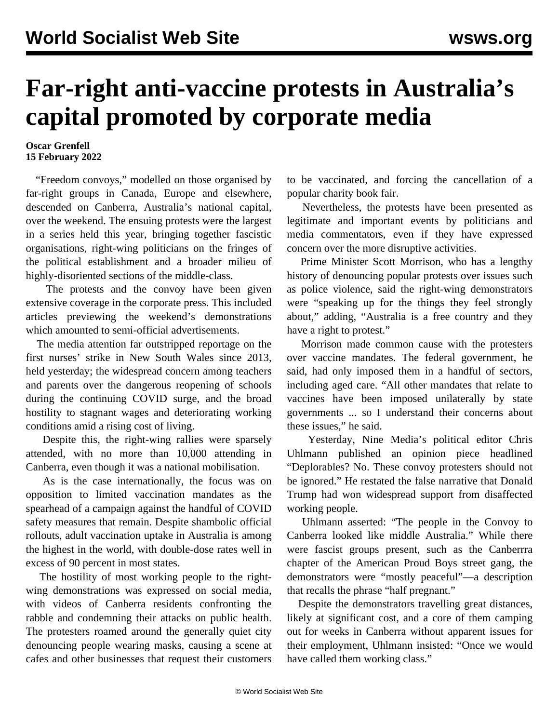## **Far-right anti-vaccine protests in Australia's capital promoted by corporate media**

## **Oscar Grenfell 15 February 2022**

 "Freedom convoys," modelled on those organised by far-right groups in Canada, Europe and elsewhere, descended on Canberra, Australia's national capital, over the weekend. The ensuing protests were the largest in a series held this year, bringing together fascistic organisations, right-wing politicians on the fringes of the political establishment and a broader milieu of highly-disoriented sections of the middle-class.

 The protests and the convoy have been given extensive coverage in the corporate press. This included articles previewing the weekend's demonstrations which amounted to semi-official advertisements.

 The media attention far outstripped reportage on the first nurses' strike in New South Wales since 2013, held yesterday; the widespread concern among teachers and parents over the dangerous reopening of schools during the continuing COVID surge, and the broad hostility to stagnant wages and deteriorating working conditions amid a rising cost of living.

 Despite this, the right-wing rallies were sparsely attended, with no more than 10,000 attending in Canberra, even though it was a national mobilisation.

 As is the case internationally, the focus was on opposition to limited vaccination mandates as the spearhead of a campaign against the handful of COVID safety measures that remain. Despite shambolic official rollouts, adult vaccination uptake in Australia is among the highest in the world, with double-dose rates well in excess of 90 percent in most states.

 The hostility of most working people to the rightwing demonstrations was expressed on social media, with videos of Canberra residents confronting the rabble and condemning their attacks on public health. The protesters roamed around the generally quiet city denouncing people wearing masks, causing a scene at cafes and other businesses that request their customers

to be vaccinated, and forcing the cancellation of a popular charity book fair.

 Nevertheless, the protests have been presented as legitimate and important events by politicians and media commentators, even if they have expressed concern over the more disruptive activities.

 Prime Minister Scott Morrison, who has a lengthy history of denouncing popular protests over issues such as police violence, said the right-wing demonstrators were "speaking up for the things they feel strongly about," adding, "Australia is a free country and they have a right to protest."

 Morrison made common cause with the protesters over vaccine mandates. The federal government, he said, had only imposed them in a handful of sectors, including aged care. "All other mandates that relate to vaccines have been imposed unilaterally by state governments ... so I understand their concerns about these issues," he said.

 Yesterday, Nine Media's political editor Chris Uhlmann published an opinion piece headlined "Deplorables? No. These convoy protesters should not be ignored." He restated the false narrative that Donald Trump had won widespread support from disaffected working people.

 Uhlmann asserted: "The people in the Convoy to Canberra looked like middle Australia." While there were fascist groups present, such as the Canberrra chapter of the American Proud Boys street gang, the demonstrators were "mostly peaceful"—a description that recalls the phrase "half pregnant."

 Despite the demonstrators travelling great distances, likely at significant cost, and a core of them camping out for weeks in Canberra without apparent issues for their employment, Uhlmann insisted: "Once we would have called them working class."